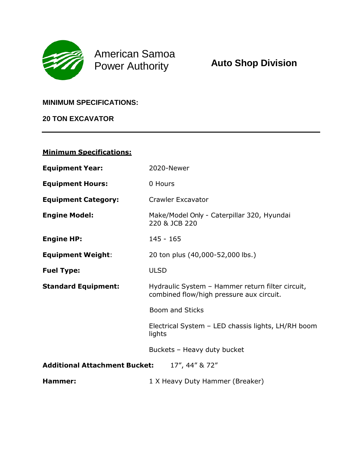

American Samoa Power Authority

#### **MINIMUM SPECIFICATIONS:**

**20 TON EXCAVATOR**

### **Minimum Specifications:**

| <b>Equipment Year:</b>                                 | 2020-Newer                                                                                   |
|--------------------------------------------------------|----------------------------------------------------------------------------------------------|
| <b>Equipment Hours:</b>                                | 0 Hours                                                                                      |
| <b>Equipment Category:</b>                             | <b>Crawler Excavator</b>                                                                     |
| <b>Engine Model:</b>                                   | Make/Model Only - Caterpillar 320, Hyundai<br>220 & JCB 220                                  |
| <b>Engine HP:</b>                                      | $145 - 165$                                                                                  |
| <b>Equipment Weight:</b>                               | 20 ton plus (40,000-52,000 lbs.)                                                             |
| <b>Fuel Type:</b>                                      | <b>ULSD</b>                                                                                  |
| <b>Standard Equipment:</b>                             | Hydraulic System - Hammer return filter circuit,<br>combined flow/high pressure aux circuit. |
|                                                        | <b>Boom and Sticks</b>                                                                       |
|                                                        | Electrical System - LED chassis lights, LH/RH boom<br>lights                                 |
|                                                        | Buckets - Heavy duty bucket                                                                  |
| <b>Additional Attachment Bucket:</b><br>17", 44" & 72" |                                                                                              |
| Hammer:                                                | 1 X Heavy Duty Hammer (Breaker)                                                              |